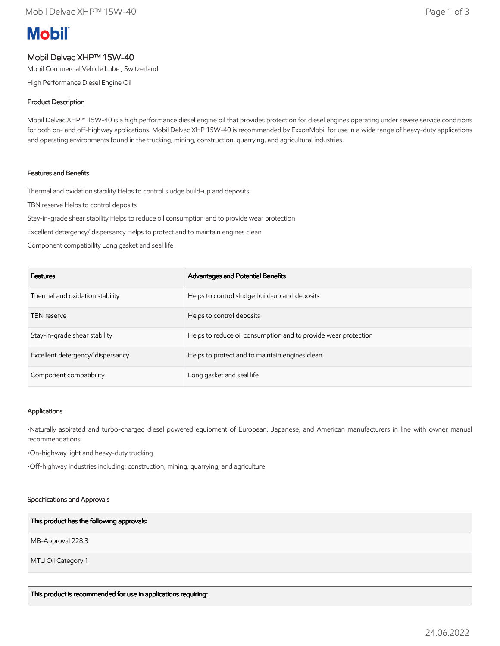# **Mobil**

# Mobil Delvac XHP™ 15W-40

Mobil Commercial Vehicle Lube , Switzerland

High Performance Diesel Engine Oil

## Product Description

Mobil Delvac XHP™ 15W-40 is a high performance diesel engine oil that provides protection for diesel engines operating under severe service conditions for both on- and off-highway applications. Mobil Delvac XHP 15W-40 is recommended by ExxonMobil for use in a wide range of heavy-duty applications and operating environments found in the trucking, mining, construction, quarrying, and agricultural industries.

## Features and Benefits

Thermal and oxidation stability Helps to control sludge build-up and deposits

TBN reserve Helps to control deposits

Stay-in-grade shear stability Helps to reduce oil consumption and to provide wear protection

Excellent detergency/ dispersancy Helps to protect and to maintain engines clean

Component compatibility Long gasket and seal life

| <b>Features</b>                   | Advantages and Potential Benefits                              |
|-----------------------------------|----------------------------------------------------------------|
| Thermal and oxidation stability   | Helps to control sludge build-up and deposits                  |
| <b>TBN</b> reserve                | Helps to control deposits                                      |
| Stay-in-grade shear stability     | Helps to reduce oil consumption and to provide wear protection |
| Excellent detergency/ dispersancy | Helps to protect and to maintain engines clean                 |
| Component compatibility           | Long gasket and seal life                                      |

#### Applications

•Naturally aspirated and turbo-charged diesel powered equipment of European, Japanese, and American manufacturers in line with owner manual recommendations

•On-highway light and heavy-duty trucking

•Off-highway industries including: construction, mining, quarrying, and agriculture

#### Specifications and Approvals

#### This product has the following approvals:

MB-Approval 228.3

MTU Oil Category 1

This product is recommended for use in applications requiring: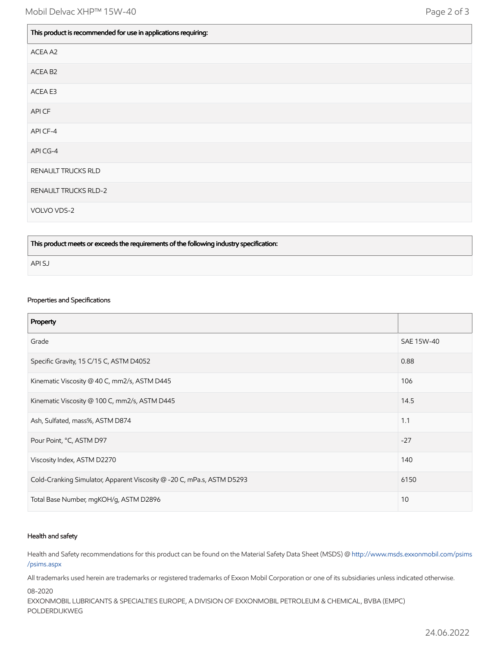| This product is recommended for use in applications requiring: |
|----------------------------------------------------------------|
| ACEA A2                                                        |
| ACEA B2                                                        |
| ACEA E3                                                        |
| API CF                                                         |
| API CF-4                                                       |
| API CG-4                                                       |
| RENAULT TRUCKS RLD                                             |
| <b>RENAULT TRUCKS RLD-2</b>                                    |
| VOLVO VDS-2                                                    |

This product meets or exceeds the requirements of the following industry specification:

API SJ

#### Properties and Specifications

| Property                                                               |            |
|------------------------------------------------------------------------|------------|
| Grade                                                                  | SAE 15W-40 |
| Specific Gravity, 15 C/15 C, ASTM D4052                                | 0.88       |
| Kinematic Viscosity @ 40 C, mm2/s, ASTM D445                           | 106        |
| Kinematic Viscosity @ 100 C, mm2/s, ASTM D445                          | 14.5       |
| Ash, Sulfated, mass%, ASTM D874                                        | 1.1        |
| Pour Point, °C, ASTM D97                                               | $-27$      |
| Viscosity Index, ASTM D2270                                            | 140        |
| Cold-Cranking Simulator, Apparent Viscosity @ -20 C, mPa.s, ASTM D5293 | 6150       |
| Total Base Number, mgKOH/g, ASTM D2896                                 | 10         |

#### Health and safety

Health and Safety recommendations for this product can be found on the Material Safety Data Sheet (MSDS) @ [http://www.msds.exxonmobil.com/psims](http://www.msds.exxonmobil.com/psims/psims.aspx) /psims.aspx

All trademarks used herein are trademarks or registered trademarks of Exxon Mobil Corporation or one of its subsidiaries unless indicated otherwise.

08-2020

EXXONMOBIL LUBRICANTS & SPECIALTIES EUROPE, A DIVISION OF EXXONMOBIL PETROLEUM & CHEMICAL, BVBA (EMPC) POLDERDIJKWEG